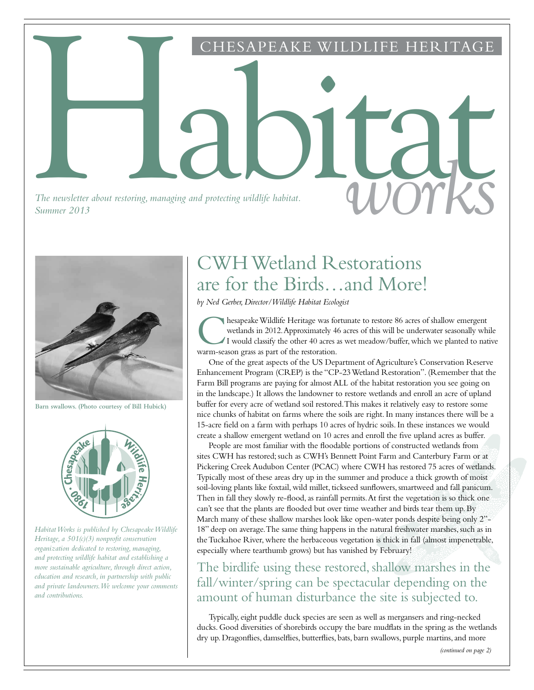*The newsletter about restoring, managing and protecting wildlife habitat.*<br>Summer 2013 *Summer 2013*



**Barn swallows. (Photo courtesy of Bill Hubick)**



*Habitat Works is published by Chesapeake Wildlife Heritage, a 501(c)(3) nonprofit conservation organization dedicated to restoring, managing, and protecting wildlife habitat and establishing a more sustainable agriculture, through direct action, education and research, in partnership with public and private landowners. We welcome your comments and contributions.*

## CWH Wetland Restorations are for the Birds…and More!

PEAKE WILDLIFE

*by Ned Gerber, Director/Wildlife Habitat Ecologist*

Habitat

**C** hesapeake Wildlife Heritage was for wetlands in 2012. Approximately 46 I would classify the other 40 acres as warm-season grass as part of the restoration. hesapeake Wildlife Heritage was fortunate to restore 86 acres of shallow emergent wetlands in 2012. Approximately 46 acres of this will be underwater seasonally while I would classify the other 40 acres as wet meadow/buffer, which we planted to native

One of the great aspects of the US Department of Agriculture's Conservation Reserve Enhancement Program (CREP) is the "CP-23 Wetland Restoration". (Remember that the Farm Bill programs are paying for almost ALL of the habitat restoration you see going on in the landscape.) It allows the landowner to restore wetlands and enroll an acre of upland buffer for every acre of wetland soil restored. This makes it relatively easy to restore some nice chunks of habitat on farms where the soils are right. In many instances there will be a 15-acre field on a farm with perhaps 10 acres of hydric soils. In these instances we would create a shallow emergent wetland on 10 acres and enroll the five upland acres as buffer.

People are most familiar with the floodable portions of constructed wetlands from sites CWH has restored; such as CWH's Bennett Point Farm and Canterbury Farm or at Pickering Creek Audubon Center (PCAC) where CWH has restored 75 acres of wetlands. Typically most of these areas dry up in the summer and produce a thick growth of moist soil-loving plants like foxtail, wild millet, tickseed sunflowers, smartweed and fall panicum. Then in fall they slowly re-flood, as rainfall permits. At first the vegetation is so thick one can't see that the plants are flooded but over time weather and birds tear them up. By March many of these shallow marshes look like open-water ponds despite being only 2"- 18" deep on average. The same thing happens in the natural freshwater marshes, such as in the Tuckahoe River, where the herbaceous vegetation is thick in fall (almost impenetrable, especially where tearthumb grows) but has vanished by February!

The birdlife using these restored, shallow marshes in the fall/winter/spring can be spectacular depending on the amount of human disturbance the site is subjected to.

Typically, eight puddle duck species are seen as well as mergansers and ring-necked ducks. Good diversities of shorebirds occupy the bare mudflats in the spring as the wetlands dry up. Dragonflies, damselflies, butterflies, bats, barn swallows, purple martins, and more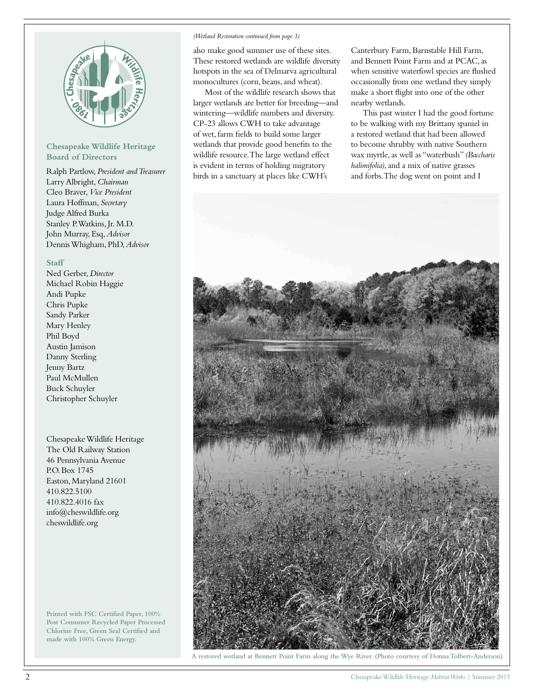

### **Chesapeake Wildlife Heritage Board of Directors**

Ralph Partlow, *President and Treasurer* Larry Albright, *Chairman* Cleo Braver, *Vice President* Laura Hoffman, *Secretary* Judge Alfred Burka Stanley P. Watkins, Jr. M.D. John Murray, Esq, *Advisor* Dennis Whigham, PhD, *Advisor*

### **Staff**

Ned Gerber, *Director* Michael Robin Haggie Andi Pupke Chris Pupke Sandy Parker Mary Henley Phil Boyd Austin Jamison Danny Sterling Jenny Bartz Paul McMullen Buck Schuyler Christopher Schuyler

Chesapeake Wildlife Heritage The Old Railway Station 46 Pennsylvania Avenue P.O. Box 1745 Easton, Maryland 21601 410.822.5100 410.822.4016 fax info@cheswildlife.org cheswildlife.org

**Printed with FSC Certified Paper, 100% Post Consumer Recycled Paper Processed Chlorine Free, Green Seal Certified and made with 100% Green Energy.**

### *(Wetland Restoration continued from page 1)*

also make good summer use of these sites. These restored wetlands are wildlife diversity hotspots in the sea of Delmarva agricultural monocultures (corn, beans, and wheat).

Most of the wildlife research shows that larger wetlands are better for breeding—and wintering—wildlife numbers and diversity. CP-23 allows CWH to take advantage of wet, farm fields to build some larger wetlands that provide good benefits to the wildlife resource. The large wetland effect is evident in terms of holding migratory birds in a sanctuary at places like CWH's

Canterbury Farm, Barnstable Hill Farm, and Bennett Point Farm and at PCAC, as when sensitive waterfowl species are flushed occasionally from one wetland they simply make a short flight into one of the other nearby wetlands.

This past winter I had the good fortune to be walking with my Brittany spaniel in a restored wetland that had been allowed to become shrubby with native Southern wax myrtle, as well as "waterbush" *(Baccharis halimifolia)*, and a mix of native grasses and forbs. The dog went on point and I



**A restored wetland at Bennett Point Farm along the Wye River. (Photo courtesy of Donna Tolbert-Anderson)**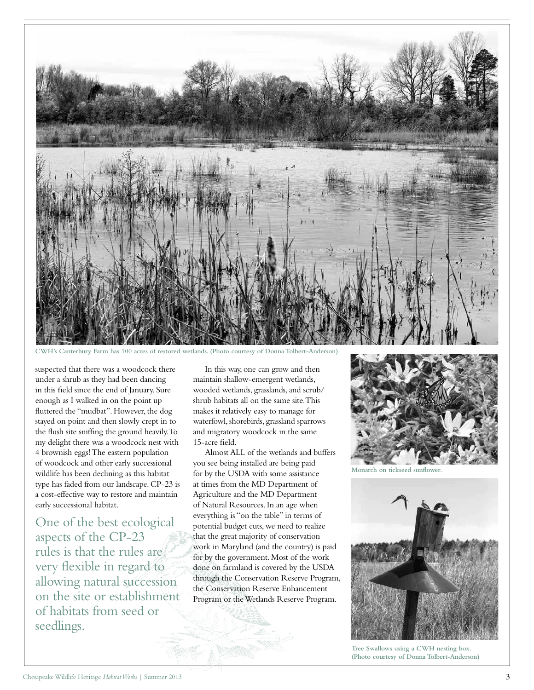

Canterbury Farm has 100 acres of restored wetlands. (Photo courtesy of Donna Tolbert-Anderson)

suspected that there was a woodcock there under a shrub as they had been dancing in this field since the end of January. Sure enough as I walked in on the point up fluttered the "mudbat". However, the dog stayed on point and then slowly crept in to the flush site sniffing the ground heavily. To my delight there was a woodcock nest with 4 brownish eggs! The eastern population of woodcock and other early successional wildlife has been declining as this habitat type has faded from our landscape. CP-23 is a cost-effective way to restore and maintain early successional habitat.

One of the best ecological aspects of the CP-23 rules is that the rules are very flexible in regard to allowing natural succession on the site or establishment of habitats from seed or seedlings.

In this way, one can grow and then maintain shallow-emergent wetlands, wooded wetlands, grasslands, and scrub/ shrub habitats all on the same site. This makes it relatively easy to manage for waterfowl, shorebirds, grassland sparrows and migratory woodcock in the same 15-acre field.

Almost ALL of the wetlands and buffers you see being installed are being paid for by the USDA with some assistance at times from the MD Department of Agriculture and the MD Department of Natural Resources. In an age when everything is "on the table" in terms of potential budget cuts, we need to realize that the great majority of conservation work in Maryland (and the country) is paid for by the government. Most of the work done on farmland is covered by the USDA through the Conservation Reserve Program, the Conservation Reserve Enhancement Program or the Wetlands Reserve Program.



**Monarch on tickseed sunflower.**



**Tree Swallows using a CWH nesting box. (Photo courtesy of Donna Tolbert-Anderson)**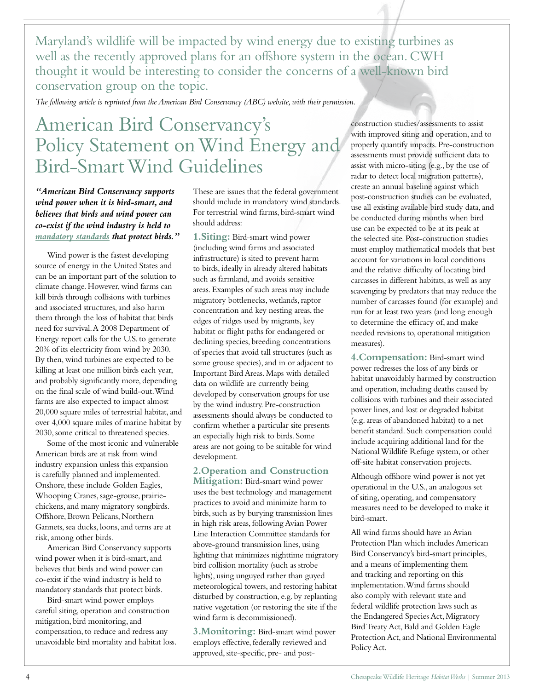Maryland's wildlife will be impacted by wind energy due to existing turbines as well as the recently approved plans for an offshore system in the ocean. CWH thought it would be interesting to consider the concerns of a well-known bird conservation group on the topic.

*The following article is reprinted from the American Bird Conservancy (ABC) website, with their permission.*

## American Bird Conservancy's Policy Statement on Wind Energy and Bird-Smart Wind Guidelines

*"American Bird Conservancy supports wind power when it is bird-smart, and believes that birds and wind power can co-exist if the wind industry is held to mandatory standards that protect birds."*

Wind power is the fastest developing source of energy in the United States and can be an important part of the solution to climate change. However, wind farms can kill birds through collisions with turbines and associated structures, and also harm them through the loss of habitat that birds need for survival. A 2008 Department of Energy report calls for the U.S. to generate 20% of its electricity from wind by 2030. By then, wind turbines are expected to be killing at least one million birds each year, and probably significantly more, depending on the final scale of wind build-out. Wind farms are also expected to impact almost 20,000 square miles of terrestrial habitat, and over 4,000 square miles of marine habitat by 2030, some critical to threatened species.

Some of the most iconic and vulnerable American birds are at risk from wind industry expansion unless this expansion is carefully planned and implemented. Onshore, these include Golden Eagles, Whooping Cranes, sage-grouse, prairiechickens, and many migratory songbirds. Offshore, Brown Pelicans, Northern Gannets, sea ducks, loons, and terns are at risk, among other birds.

American Bird Conservancy supports wind power when it is bird-smart, and believes that birds and wind power can co-exist if the wind industry is held to mandatory standards that protect birds.

Bird-smart wind power employs careful siting, operation and construction mitigation, bird monitoring, and compensation, to reduce and redress any unavoidable bird mortality and habitat loss. These are issues that the federal government should include in mandatory wind standards. For terrestrial wind farms, bird-smart wind should address:

**1. Siting:** Bird-smart wind power (including wind farms and associated infrastructure) is sited to prevent harm to birds, ideally in already altered habitats such as farmland, and avoids sensitive areas. Examples of such areas may include migratory bottlenecks, wetlands, raptor concentration and key nesting areas, the edges of ridges used by migrants, key habitat or flight paths for endangered or declining species, breeding concentrations of species that avoid tall structures (such as some grouse species), and in or adjacent to Important Bird Areas. Maps with detailed data on wildlife are currently being developed by conservation groups for use by the wind industry. Pre-construction assessments should always be conducted to confirm whether a particular site presents an especially high risk to birds. Some areas are not going to be suitable for wind development.

### **2. Operation and Construction**

**Mitigation:** Bird-smart wind power uses the best technology and management practices to avoid and minimize harm to birds, such as by burying transmission lines in high risk areas, following Avian Power Line Interaction Committee standards for above-ground transmission lines, using lighting that minimizes nighttime migratory bird collision mortality (such as strobe lights), using unguyed rather than guyed meteorological towers, and restoring habitat disturbed by construction, e.g. by replanting native vegetation (or restoring the site if the wind farm is decommissioned).

**3. Monitoring:** Bird-smart wind power employs effective, federally reviewed and approved, site-specific, pre- and postconstruction studies/assessments to assist with improved siting and operation, and to properly quantify impacts. Pre-construction assessments must provide sufficient data to assist with micro-siting (e.g., by the use of radar to detect local migration patterns), create an annual baseline against which post-construction studies can be evaluated, use all existing available bird study data, and be conducted during months when bird use can be expected to be at its peak at the selected site. Post-construction studies must employ mathematical models that best account for variations in local conditions and the relative difficulty of locating bird carcasses in different habitats, as well as any scavenging by predators that may reduce the number of carcasses found (for example) and run for at least two years (and long enough to determine the efficacy of, and make needed revisions to, operational mitigation measures).

**4. Compensation:** Bird-smart wind power redresses the loss of any birds or habitat unavoidably harmed by construction and operation, including deaths caused by collisions with turbines and their associated power lines, and lost or degraded habitat (e.g. areas of abandoned habitat) to a net benefit standard. Such compensation could include acquiring additional land for the National Wildlife Refuge system, or other off-site habitat conservation projects.

Although offshore wind power is not yet operational in the U.S., an analogous set of siting, operating, and compensatory measures need to be developed to make it bird-smart.

All wind farms should have an Avian Protection Plan which includes American Bird Conservancy's bird-smart principles, and a means of implementing them and tracking and reporting on this implementation. Wind farms should also comply with relevant state and federal wildlife protection laws such as the Endangered Species Act, Migratory Bird Treaty Act, Bald and Golden Eagle Protection Act, and National Environmental Policy Act.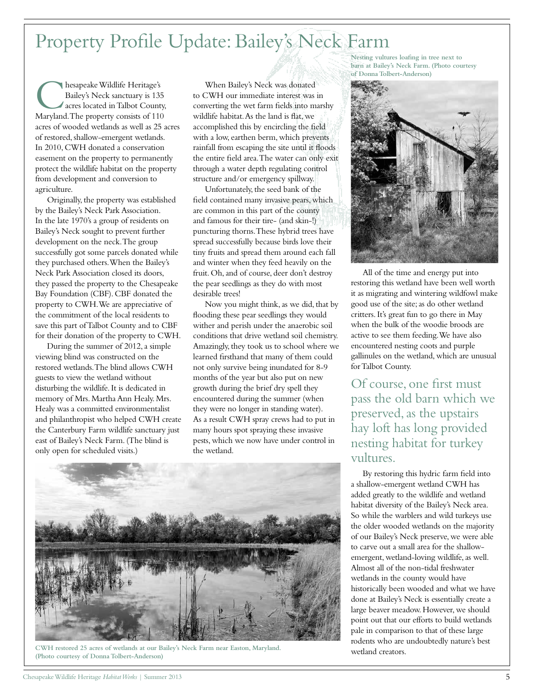## Property Profile Update: Bailey's Neck Farm

**C** hesapeake Wildlife Heritage's<br>Bailey's Neck sanctuary is 135<br>acres located in Talbot County,<br>Maryland. The property consists of 110 hesapeake Wildlife Heritage's Bailey's Neck sanctuary is 135 acres located in Talbot County, acres of wooded wetlands as well as 25 acres of restored, shallow-emergent wetlands. In 2010, CWH donated a conservation easement on the property to permanently protect the wildlife habitat on the property from development and conversion to agriculture.

Originally, the property was established by the Bailey's Neck Park Association. In the late 1970's a group of residents on Bailey's Neck sought to prevent further development on the neck. The group successfully got some parcels donated while they purchased others. When the Bailey's Neck Park Association closed its doors, they passed the property to the Chesapeake Bay Foundation (CBF). CBF donated the property to CWH. We are appreciative of the commitment of the local residents to save this part of Talbot County and to CBF for their donation of the property to CWH.

During the summer of 2012, a simple viewing blind was constructed on the restored wetlands. The blind allows CWH guests to view the wetland without disturbing the wildlife. It is dedicated in memory of Mrs. Martha Ann Healy. Mrs. Healy was a committed environmentalist and philanthropist who helped CWH create the Canterbury Farm wildlife sanctuary just east of Bailey's Neck Farm. (The blind is only open for scheduled visits.)

When Bailey's Neck was donated to CWH our immediate interest was in converting the wet farm fields into marshy wildlife habitat. As the land is flat, we accomplished this by encircling the field with a low, earthen berm, which prevents rainfall from escaping the site until it floods the entire field area. The water can only exit through a water depth regulating control structure and/or emergency spillway.

Unfortunately, the seed bank of the field contained many invasive pears, which are common in this part of the county and famous for their tire- (and skin-!) puncturing thorns. These hybrid trees have spread successfully because birds love their tiny fruits and spread them around each fall and winter when they feed heavily on the fruit. Oh, and of course, deer don't destroy the pear seedlings as they do with most desirable trees!

Now you might think, as we did, that by flooding these pear seedlings they would wither and perish under the anaerobic soil conditions that drive wetland soil chemistry. Amazingly, they took us to school where we learned firsthand that many of them could not only survive being inundated for 8-9 months of the year but also put on new growth during the brief dry spell they encountered during the summer (when they were no longer in standing water). As a result CWH spray crews had to put in many hours spot spraying these invasive pests, which we now have under control in the wetland.



**CWH restored 25 acres of wetlands at our Bailey's Neck Farm near Easton, Maryland. (Photo courtesy of Donna Tolbert-Anderson)**

**Nesting vultures loafing in tree next to barn at Bailey's Neck Farm. (Photo courtesy of Donna Tolbert-Anderson)**



All of the time and energy put into restoring this wetland have been well worth it as migrating and wintering wildfowl make good use of the site; as do other wetland critters. It's great fun to go there in May when the bulk of the woodie broods are active to see them feeding. We have also encountered nesting coots and purple gallinules on the wetland, which are unusual for Talbot County.

Of course, one first must pass the old barn which we preserved, as the upstairs hay loft has long provided nesting habitat for turkey vultures.

By restoring this hydric farm field into a shallow-emergent wetland CWH has added greatly to the wildlife and wetland habitat diversity of the Bailey's Neck area. So while the warblers and wild turkeys use the older wooded wetlands on the majority of our Bailey's Neck preserve, we were able to carve out a small area for the shallowemergent, wetland-loving wildlife, as well. Almost all of the non-tidal freshwater wetlands in the county would have historically been wooded and what we have done at Bailey's Neck is essentially create a large beaver meadow. However, we should point out that our efforts to build wetlands pale in comparison to that of these large rodents who are undoubtedly nature's best wetland creators.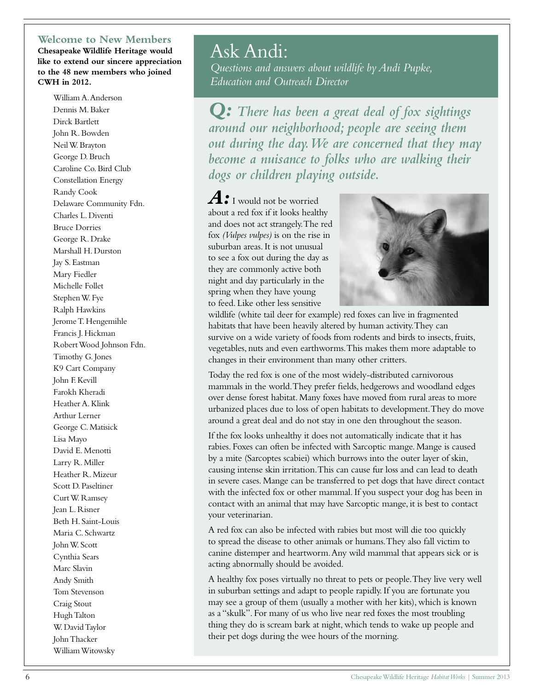### **Welcome to New Members**

**Chesapeake Wildlife Heritage would like to extend our sincere appreciation to the 48 new members who joined CWH in 2012.**

William A. Anderson Dennis M. Baker Dirck Bartlett John R. Bowden Neil W. Brayton George D. Bruch Caroline Co. Bird Club Constellation Energy Randy Cook Delaware Community Fdn. Charles L. Diventi Bruce Dorries George R. Drake Marshall H. Durston Jay S. Eastman Mary Fiedler Michelle Follet Stephen W. Fye Ralph Hawkins Jerome T. Hengemihle Francis J. Hickman Robert Wood Johnson Fdn. Timothy G. Jones K9 Cart Company John F. Kevill Farokh Kheradi Heather A. Klink Arthur Lerner George C. Matisick Lisa Mayo David E. Menotti Larry R. Miller Heather R. Mizeur Scott D. Paseltiner Curt W. Ramsey Jean L. Risner Beth H. Saint-Louis Maria C. Schwartz John W. Scott Cynthia Sears Marc Slavin Andy Smith Tom Stevenson Craig Stout Hugh Talton W. David Taylor John Thacker William Witowsky

## Ask Andi:

*Questions and answers about wildlife by Andi Pupke, Education and Outreach Director*

*Q: There has been a great deal of fox sightings around our neighborhood; people are seeing them out during the day. We are concerned that they may become a nuisance to folks who are walking their dogs or children playing outside.*

*A:*I would not be worried about a red fox if it looks healthy and does not act strangely. The red fox *(Vulpes vulpes)* is on the rise in suburban areas. It is not unusual to see a fox out during the day as they are commonly active both night and day particularly in the spring when they have young to feed. Like other less sensitive



wildlife (white tail deer for example) red foxes can live in fragmented habitats that have been heavily altered by human activity. They can survive on a wide variety of foods from rodents and birds to insects, fruits, vegetables, nuts and even earthworms. This makes them more adaptable to changes in their environment than many other critters.

Today the red fox is one of the most widely-distributed carnivorous mammals in the world. They prefer fields, hedgerows and woodland edges over dense forest habitat. Many foxes have moved from rural areas to more urbanized places due to loss of open habitats to development. They do move around a great deal and do not stay in one den throughout the season.

If the fox looks unhealthy it does not automatically indicate that it has rabies. Foxes can often be infected with Sarcoptic mange. Mange is caused by a mite (Sarcoptes scabiei) which burrows into the outer layer of skin, causing intense skin irritation. This can cause fur loss and can lead to death in severe cases. Mange can be transferred to pet dogs that have direct contact with the infected fox or other mammal. If you suspect your dog has been in contact with an animal that may have Sarcoptic mange, it is best to contact your veterinarian.

A red fox can also be infected with rabies but most will die too quickly to spread the disease to other animals or humans. They also fall victim to canine distemper and heartworm. Any wild mammal that appears sick or is acting abnormally should be avoided.

A healthy fox poses virtually no threat to pets or people. They live very well in suburban settings and adapt to people rapidly. If you are fortunate you may see a group of them (usually a mother with her kits), which is known as a "skulk". For many of us who live near red foxes the most troubling thing they do is scream bark at night, which tends to wake up people and their pet dogs during the wee hours of the morning.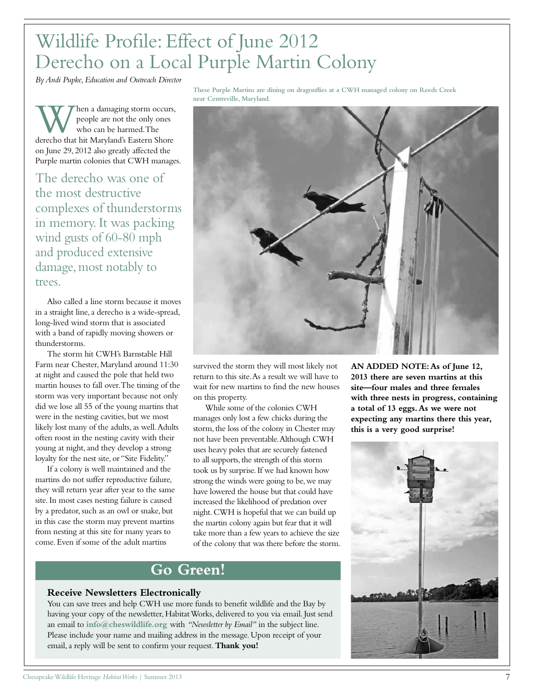## Wildlife Profile: Effect of June 2012 Derecho on a Local Purple Martin Colony

*By Andi Pupke, Education and Outreach Director*

When a damaging storm occurs,<br>
who can be harmed. The<br>
derecho that hit Maryland's Eastern Shore people are not the only ones who can be harmed. The on June 29, 2012 also greatly affected the Purple martin colonies that CWH manages.

The derecho was one of the most destructive complexes of thunderstorms in memory. It was packing wind gusts of 60-80 mph and produced extensive damage, most notably to trees.

Also called a line storm because it moves in a straight line, a derecho is a wide-spread, long-lived wind storm that is associated with a band of rapidly moving showers or thunderstorms.

The storm hit CWH's Barnstable Hill Farm near Chester, Maryland around 11:30 at night and caused the pole that held two martin houses to fall over. The timing of the storm was very important because not only did we lose all 55 of the young martins that were in the nesting cavities, but we most likely lost many of the adults, as well. Adults often roost in the nesting cavity with their young at night, and they develop a strong loyalty for the nest site, or "Site Fidelity."

If a colony is well maintained and the martins do not suffer reproductive failure, they will return year after year to the same site. In most cases nesting failure is caused by a predator, such as an owl or snake, but in this case the storm may prevent martins from nesting at this site for many years to come. Even if some of the adult martins

**These Purple Martins are dining on dragonflies at a CWH managed colony on Reeds Creek near Centreville, Maryland.**



survived the storm they will most likely not return to this site. As a result we will have to wait for new martins to find the new houses on this property.

While some of the colonies CWH manages only lost a few chicks during the storm, the loss of the colony in Chester may not have been preventable. Although CWH uses heavy poles that are securely fastened to all supports, the strength of this storm took us by surprise. If we had known how strong the winds were going to be, we may have lowered the house but that could have increased the likelihood of predation over night. CWH is hopeful that we can build up the martin colony again but fear that it will take more than a few years to achieve the size of the colony that was there before the storm.

### **Go Green!**

### **Receive Newsletters Electronically**

You can save trees and help CWH use more funds to benefit wildlife and the Bay by having your copy of the newsletter, Habitat Works, delivered to you via email. Just send an email to **info@cheswildlife.org** with *"Newsletter by Email"* in the subject line. Please include your name and mailing address in the message. Upon receipt of your email, a reply will be sent to confirm your request. **Thank you!**

**AN ADDED NOTE: As of June 12, 2013 there are seven martins at this site—four males and three females with three nests in progress, containing a total of 13 eggs. As we were not expecting any martins there this year, this is a very good surprise!**

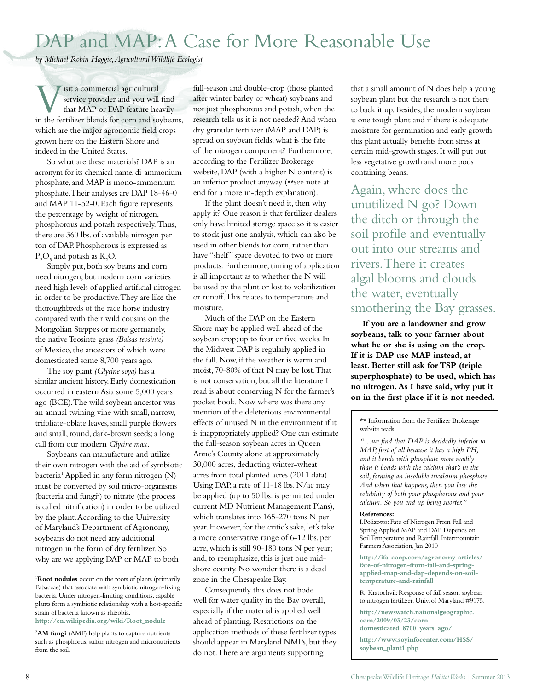## DAP and MAP: A Case for More Reasonable Use

*by Michael Robin Haggie, Agricultural Wildlife Ecologist*

**V** isit a commercial agricultural<br>that MAP or DAP feature heavily<br>in the fertilizer blends for corn and soybeans, isit a commercial agricultural service provider and you will find that MAP or DAP feature heavily which are the major agronomic field crops grown here on the Eastern Shore and indeed in the United States.

So what are these materials? DAP is an acronym for its chemical name, di-ammonium phosphate, and MAP is mono-ammonium phosphate. Their analyses are DAP 18-46-0 and MAP 11-52-0. Each figure represents the percentage by weight of nitrogen, phosphorous and potash respectively. Thus, there are 360 lbs. of available nitrogen per ton of DAP. Phosphorous is expressed as  $P_2O_5$  and potash as  $K_2O$ .

Simply put, both soy beans and corn need nitrogen, but modern corn varieties need high levels of applied artificial nitrogen in order to be productive. They are like the thoroughbreds of the race horse industry compared with their wild cousins on the Mongolian Steppes or more germanely, the native Teosinte grass *(Balsas teosinte)*  of Mexico, the ancestors of which were domesticated some 8,700 years ago.

The soy plant *(Glycine soya)* has a similar ancient history. Early domestication occurred in eastern Asia some 5,000 years ago (BCE). The wild soybean ancestor was an annual twining vine with small, narrow, trifoliate-oblate leaves, small purple flowers and small, round, dark-brown seeds; a long call from our modern *Glycine max*.

Soybeans can manufacture and utilize their own nitrogen with the aid of symbiotic bacteria<sup>1</sup> Applied in any form nitrogen (N) must be converted by soil micro-organisms (bacteria and fungi<sup>2</sup>) to nitrate (the process is called nitrification) in order to be utilized by the plant. According to the University of Maryland's Department of Agronomy, soybeans do not need any additional nitrogen in the form of dry fertilizer. So why are we applying DAP or MAP to both

<sup>1</sup>**Root nodules** occur on the roots of plants (primarily Fabaceae) that associate with symbiotic nitrogen-fixing bacteria. Under nitrogen-limiting conditions, capable plants form a symbiotic relationship with a host-specific strain of bacteria known as rhizobia. **http://en.wikipedia.org/wiki/Root\_nodule**

<sup>2</sup>**AM fungi** (AMF) help plants to capture nutrients such as phosphorus, sulfur, nitrogen and micronutrients from the soil.

full-season and double-crop (those planted after winter barley or wheat) soybeans and not just phosphorous and potash, when the research tells us it is not needed? And when dry granular fertilizer (MAP and DAP) is spread on soybean fields, what is the fate of the nitrogen component? Furthermore, according to the Fertilizer Brokerage website, DAP (with a higher N content) is an inferior product anyway (\*\*see note at end for a more in-depth explanation).

If the plant doesn't need it, then why apply it? One reason is that fertilizer dealers only have limited storage space so it is easier to stock just one analysis, which can also be used in other blends for corn, rather than have "shelf" space devoted to two or more products. Furthermore, timing of application is all important as to whether the N will be used by the plant or lost to volatilization or runoff. This relates to temperature and moisture.

Much of the DAP on the Eastern Shore may be applied well ahead of the soybean crop; up to four or five weeks. In the Midwest DAP is regularly applied in the fall. Now, if the weather is warm and moist, 70-80% of that N may be lost. That is not conservation; but all the literature I read is about conserving N for the farmer's pocket book. Now where was there any mention of the deleterious environmental effects of unused N in the environment if it is inappropriately applied? One can estimate the full-season soybean acres in Queen Anne's County alone at approximately 30,000 acres, deducting winter-wheat acres from total planted acres (2011 data). Using DAP, a rate of 11-18 lbs. N/ac may be applied (up to 50 lbs. is permitted under current MD Nutrient Management Plans), which translates into 165-270 tons N per year. However, for the critic's sake, let's take a more conservative range of 6-12 lbs. per acre, which is still 90-180 tons N per year; and, to reemphasize, this is just one midshore county. No wonder there is a dead zone in the Chesapeake Bay.

Consequently this does not bode well for water quality in the Bay overall, especially if the material is applied well ahead of planting. Restrictions on the application methods of these fertilizer types should appear in Maryland NMPs, but they do not. There are arguments supporting

that a small amount of N does help a young soybean plant but the research is not there to back it up. Besides, the modern soybean is one tough plant and if there is adequate moisture for germination and early growth this plant actually benefits from stress at certain mid-growth stages. It will put out less vegetative growth and more pods containing beans.

Again, where does the unutilized N go? Down the ditch or through the soil profile and eventually out into our streams and rivers. There it creates algal blooms and clouds the water, eventually smothering the Bay grasses.

**If you are a landowner and grow soybeans, talk to your farmer about what he or she is using on the crop. If it is DAP use MAP instead, at least. Better still ask for TSP (triple superphosphate) to be used, which has no nitrogen. As I have said, why put it on in the first place if it is not needed.**

\*\* Information from the Fertilizer Brokerage website reads:

*"…we find that DAP is decidedly inferior to MAP, first of all because it has a high PH, and it bonds with phosphate more readily than it bonds with the calcium that's in the soil, forming an insoluble tricalcium phosphate. And when that happens, then you lose the solubility of both your phosphorous and your calcium. So you end up being shorter."*

#### **References:**

I.Polizotto: Fate of Nitrogen From Fall and Spring Applied MAP and DAP Depends on Soil Temperature and Rainfall. Intermountain Farmers Association, Jan 2010

**http://ifa-coop.com/agronomy-articles/ fate-of-nitrogen-from-fall-and-springapplied-map-and-dap-depends-on-soiltemperature-and-rainfall**

R. Kratochvil: Response of full season soybean to nitrogen fertilizer. Univ. of Maryland #9175.

**http://newswatch.nationalgeographic. com/2009/03/23/corn\_ domesticated\_8700\_years\_ago/**

**http://www.soyinfocenter.com/HSS/ soybean\_plant1.php**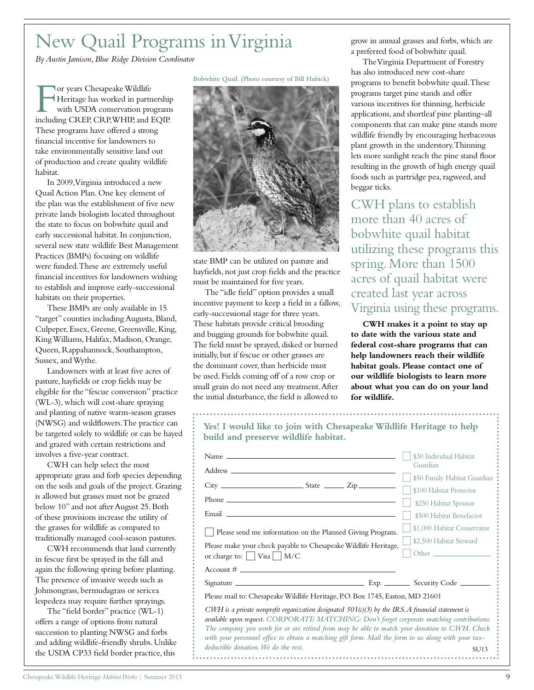# New Quail Programs in Virginia

*By Austin Jamison, Blue Ridge Division Coordinator*

The Vildlife<br>
Feritage has worked in partnership<br>
with USDA conservation programs<br>
including CREP, CRP, WHIP, and EQIP. or years Chesapeake Wildlife Heritage has worked in partnership with USDA conservation programs These programs have offered a strong financial incentive for landowners to take environmentally sensitive land out of production and create quality wildlife habitat.

In 2009, Virginia introduced a new Quail Action Plan. One key element of the plan was the establishment of five new private lands biologists located throughout the state to focus on bobwhite quail and early successional habitat. In conjunction, several new state wildlife Best Management Practices (BMPs) focusing on wildlife were funded. These are extremely useful financial incentives for landowners wishing to establish and improve early-successional habitats on their properties.

These BMPs are only available in 15 "target" counties including Augusta, Bland, Culpeper, Essex, Greene, Greensville, King, King Williams, Halifax, Madison, Orange, Queen, Rappahannock, Southampton, Sussex, and Wythe.

Landowners with at least five acres of pasture, hayfields or crop fields may be eligible for the "fescue conversion" practice (WL-3), which will cost-share spraying and planting of native warm-season grasses (NWSG) and wildflowers. The practice can be targeted solely to wildlife or can be hayed and grazed with certain restrictions and involves a five-year contract.

CWH can help select the most appropriate grass and forb species depending on the soils and goals of the project. Grazing is allowed but grasses must not be grazed below 10" and not after August 25. Both of these provisions increase the utility of the grasses for wildlife as compared to traditionally managed cool-season pastures.

CWH recommends that land currently in fescue first be sprayed in the fall and again the following spring before planting. The presence of invasive weeds such as Johnsongrass, bermudagrass or sericea lespedeza may require further sprayings.

The "field border" practice (WL-1) offers a range of options from natural succession to planting NWSG and forbs and adding wildlife-friendly shrubs. Unlike the USDA CP33 field border practice, this

**Bobwhite Quail. (Photo courtesy of Bill Hubick)**



state BMP can be utilized on pasture and hayfields, not just crop fields and the practice must be maintained for five years.

The "idle field" option provides a small incentive payment to keep a field in a fallow, early-successional stage for three years. These habitats provide critical brooding and bugging grounds for bobwhite quail. The field must be sprayed, disked or burned initially, but if fescue or other grasses are the dominant cover, than herbicide must be used. Fields coming off of a row crop or small grain do not need any treatment. After the initial disturbance, the field is allowed to

grow in annual grasses and forbs, which are a preferred food of bobwhite quail.

The Virginia Department of Forestry has also introduced new cost-share programs to benefit bobwhite quail. These programs target pine stands and offer various incentives for thinning, herbicide applications, and shortleaf pine planting–all components that can make pine stands more wildlife friendly by encouraging herbaceous plant growth in the understory. Thinning lets more sunlight reach the pine stand floor resulting in the growth of high energy quail foods such as partridge pea, ragweed, and beggar ticks.

CWH plans to establish more than 40 acres of bobwhite quail habitat utilizing these programs this spring. More than 1500 acres of quail habitat were created last year across Virginia using these programs.

**CWH makes it a point to stay up to date with the various state and federal cost-share programs that can help landowners reach their wildlife habitat goals. Please contact one of our wildlife biologists to learn more about what you can do on your land for wildlife.**

| Yes! I would like to join with Chesapeake Wildlife Heritage to help<br>build and preserve wildlife habitat.                                                                                                                                                                                                                                                                                                                                               |                                     |
|-----------------------------------------------------------------------------------------------------------------------------------------------------------------------------------------------------------------------------------------------------------------------------------------------------------------------------------------------------------------------------------------------------------------------------------------------------------|-------------------------------------|
|                                                                                                                                                                                                                                                                                                                                                                                                                                                           | \$30 Individual Habitat<br>Guardian |
|                                                                                                                                                                                                                                                                                                                                                                                                                                                           | \$50 Family Habitat Guardian        |
| $City$ $\rightharpoonup$ $\qquad \qquad$ $\qquad \qquad$ $State$ $\rightharpoonup$ $\qquad \qquad$ $\qquad \qquad$ $Zip$ $\rightharpoonup$                                                                                                                                                                                                                                                                                                                | \$100 Habitat Protector             |
|                                                                                                                                                                                                                                                                                                                                                                                                                                                           | \$250 Habitat Sponsor               |
|                                                                                                                                                                                                                                                                                                                                                                                                                                                           | \$500 Habitat Benefactor            |
| Please send me information on the Planned Giving Program.                                                                                                                                                                                                                                                                                                                                                                                                 | \$1,000 Habitat Conservator         |
| Please make your check payable to Chesapeake Wildlife Heritage,                                                                                                                                                                                                                                                                                                                                                                                           | \$2,500 Habitat Steward             |
| or charge to: $ $   Visa     M/C                                                                                                                                                                                                                                                                                                                                                                                                                          |                                     |
| $Account # \_$                                                                                                                                                                                                                                                                                                                                                                                                                                            |                                     |
|                                                                                                                                                                                                                                                                                                                                                                                                                                                           |                                     |
| Please mail to: Chesapeake Wildlife Heritage, P.O. Box 1745, Easton, MD 21601                                                                                                                                                                                                                                                                                                                                                                             |                                     |
| CWH is a private nonprofit organization designated $501(c)(3)$ by the IRS. A financial statement is<br>available upon request. CORPORATE MATCHING: Don't forget corporate matching contributions.<br>The company you work for or are retired from may be able to match your donation to CWH. Check<br>with your personnel office to obtain a matching gift form. Mail the form to us along with your tax-<br>deductible donation. We do the rest.<br>SU13 |                                     |